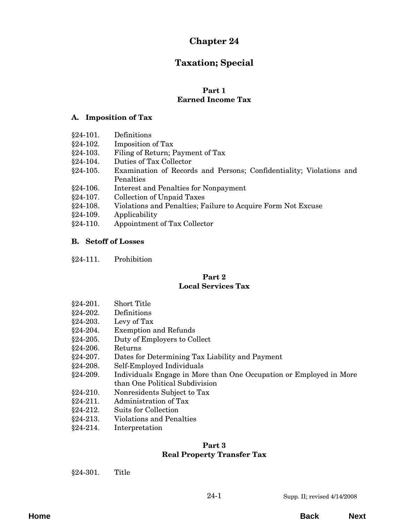# **Chapter 24**

# **Taxation; Special**

#### **Part 1 Earned Income Tax**

## **A. Imposition of Tax**

- §24-101. Definitions
- [§24-102. Imposition of Tax](#page-2-0)
- [§24-103. Filing of Return; Payment of Tax](#page-3-0)
- §24-104. Duties of Tax Collector
- [§24-105. Examination of Records and Persons; Confidentiality; Violations and](#page-4-0) Penalties
- §24-106. Interest and Penalties for Nonpayment
- §24-107. Collection of Unpaid Taxes
- §24-108. Violations and Penalties; Failure to Acquire Form Not Excuse
- §24-109. Applicability
- [§24-110. Appointment of Tax Collector](#page-5-0)

## **B. Setoff of Losses**

[§24-111. Prohibition](#page-6-0)

## **Part 2 Local Services Tax**

- [§24-201. Short Title](#page-8-0)
- §24-202. Definitions
- $§24-203.$  Levy of Tax
- [§24-204. Exemption and Refunds](#page-9-0)
- [§24-205. Duty of Employers to Collect](#page-11-0)
- §24-206. Returns
- §24-207. Dates for Determining Tax Liability and Payment
- §24-208. Self-Employed Individuals
- [§24-209. Individuals Engage in More than One Occupation or Employed in More](#page-12-0) than One Political Subdivision
- §24-210. Nonresidents Subject to Tax
- §24-211. Administration of Tax
- §24-212. Suits for Collection
- [§24-213. Violations and Penalties](#page-13-0)
- [§24-214. Interpretation](#page-14-0)

#### **Part 3 [Real Property Transfer Tax](#page-16-0)**

§24-301. Title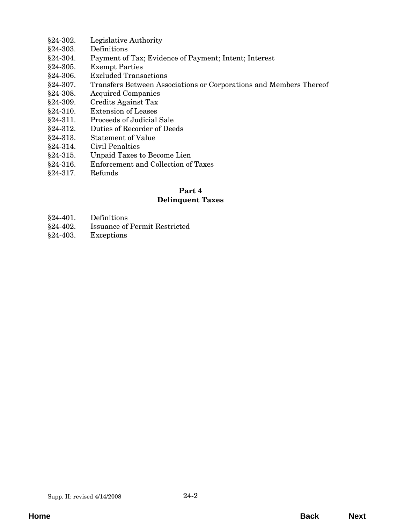- [§24-302. Legislative Authority](#page-16-0)
- §24-303. Definitions
- [§24-304. Payment of Tax; Evidence of Payment; Intent; Interest](#page-18-0)
- §24-305. Exempt Parties
- [§24-306. Excluded Transactions](#page-19-0)
- [§24-307. Transfers Between Associations or Corporations and Members Thereof](#page-21-0)
- [§24-308. Acquired Companies](#page-22-0)
- §24-309. Credits Against Tax
- §24-310. Extension of Leases
- §24-311. Proceeds of Judicial Sale
- [§24-312. Duties of Recorder of Deeds](#page-23-0)
- §24-313. Statement of Value
- §24-314. Civil Penalties
- §24-315. Unpaid Taxes to Become Lien
- [§24-316. Enforcement and Collection of Taxes](#page-24-0)
- [§24-317. Refunds](#page-25-0)

## **Part 4 Delinquent Taxes**

- §24-401. Definitions
- [§24-402. Issuance of Permit Restricted](#page-26-0)
- §24-403. Exceptions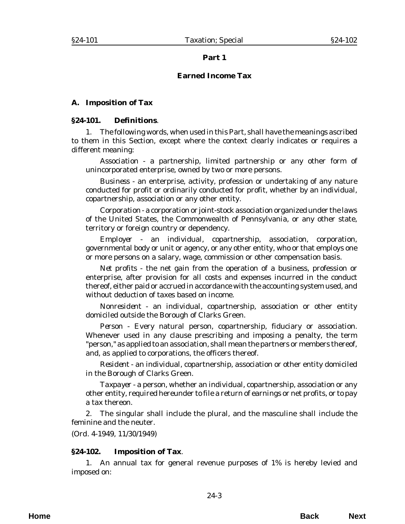#### **Part 1**

#### **Earned Income Tax**

#### <span id="page-2-0"></span>**A. Imposition of Tax**

#### **§24-101. Definitions**.

1. The following words, when used in this Part, shall have the meanings ascribed to them in this Section, except where the context clearly indicates or requires a different meaning:

*Association* - a partnership, limited partnership or any other form of unincorporated enterprise, owned by two or more persons.

*Business* - an enterprise, activity, profession or undertaking of any nature conducted for profit or ordinarily conducted for profit, whether by an individual, copartnership, association or any other entity.

*Corporation* - a corporation or joint-stock association organized under the laws of the United States, the Commonwealth of Pennsylvania, or any other state, territory or foreign country or dependency.

*Employer* - an individual, copartnership, association, corporation, governmental body or unit or agency, or any other entity, who or that employs one or more persons on a salary, wage, commission or other compensation basis.

*Net profits* - the net gain from the operation of a business, profession or enterprise, after provision for all costs and expenses incurred in the conduct thereof, either paid or accrued in accordance with the accounting system used, and without deduction of taxes based on income.

*Nonresident* - an individual, copartnership, association or other entity domiciled outside the Borough of Clarks Green.

*Person* - Every natural person, copartnership, fiduciary or association. Whenever used in any clause prescribing and imposing a penalty, the term "person," as applied to an association, shall mean the partners or members thereof, and, as applied to corporations, the officers thereof.

*Resident* - an individual, copartnership, association or other entity domiciled in the Borough of Clarks Green.

*Taxpayer* - a person, whether an individual, copartnership, association or any other entity, required hereunder to file a return of earnings or net profits, or to pay a tax thereon.

2. The singular shall include the plural, and the masculine shall include the feminine and the neuter.

(*Ord. 4-1949*, 11/30/1949)

#### **§24-102. Imposition of Tax**.

1. An annual tax for general revenue purposes of 1% is hereby levied and imposed on: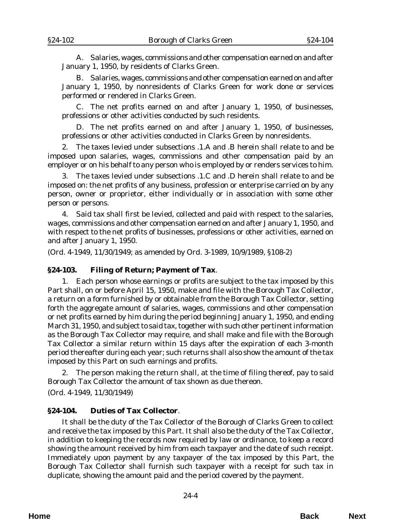<span id="page-3-0"></span>A. Salaries, wages, commissions and other compensation earned on and after January 1, 1950, by residents of Clarks Green.

B. Salaries, wages, commissions and other compensation earned on and after January 1, 1950, by nonresidents of Clarks Green for work done or services performed or rendered in Clarks Green.

C. The net profits earned on and after January 1, 1950, of businesses, professions or other activities conducted by such residents.

D. The net profits earned on and after January 1, 1950, of businesses, professions or other activities conducted in Clarks Green by nonresidents.

2. The taxes levied under subsections .1.A and .B herein shall relate to and be imposed upon salaries, wages, commissions and other compensation paid by an employer or on his behalf to any person who is employed by or renders services to him.

3. The taxes levied under subsections .1.C and .D herein shall relate to and be imposed on: the net profits of any business, profession or enterprise carried on by any person, owner or proprietor, either individually or in association with some other person or persons.

4. Said tax shall first be levied, collected and paid with respect to the salaries, wages, commissions and other compensation earned on and after January 1, 1950, and with respect to the net profits of businesses, professions or other activities, earned on and after January 1, 1950.

(*Ord. 4-1949*, 11/30/1949; as amended by *Ord. 3-1989*, 10/9/1989, §108-2)

#### **§24-103. Filing of Return; Payment of Tax**.

1. Each person whose earnings or profits are subject to the tax imposed by this Part shall, on or before April 15, 1950, make and file with the Borough Tax Collector, a return on a form furnished by or obtainable from the Borough Tax Collector, setting forth the aggregate amount of salaries, wages, commissions and other compensation or net profits earned by him during the period beginning January 1, 1950, and ending March 31, 1950, and subject to said tax, together with such other pertinent information as the Borough Tax Collector may require, and shall make and file with the Borough Tax Collector a similar return within 15 days after the expiration of each 3-month period thereafter during each year; such returns shall also show the amount of the tax imposed by this Part on such earnings and profits.

2. The person making the return shall, at the time of filing thereof, pay to said Borough Tax Collector the amount of tax shown as due thereon.

(*Ord. 4-1949*, 11/30/1949)

#### **§24-104. Duties of Tax Collector**.

It shall be the duty of the Tax Collector of the Borough of Clarks Green to collect and receive the tax imposed by this Part. It shall also be the duty of the Tax Collector, in addition to keeping the records now required by law or ordinance, to keep a record showing the amount received by him from each taxpayer and the date of such receipt. Immediately upon payment by any taxpayer of the tax imposed by this Part, the Borough Tax Collector shall furnish such taxpayer with a receipt for such tax in duplicate, showing the amount paid and the period covered by the payment.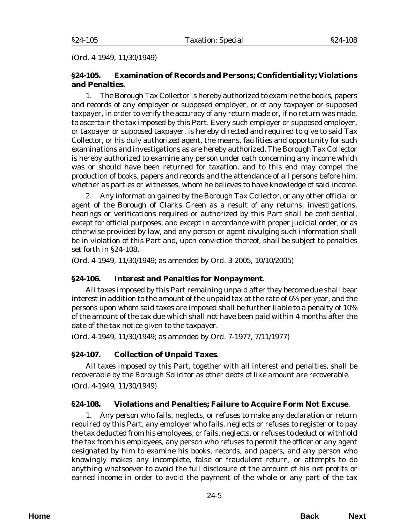<span id="page-4-0"></span>(*Ord. 4-1949*, 11/30/1949)

## **§24-105. Examination of Records and Persons; Confidentiality; Violations and Penalties**.

1. The Borough Tax Collector is hereby authorized to examine the books, papers and records of any employer or supposed employer, or of any taxpayer or supposed taxpayer, in order to verify the accuracy of any return made or, if no return was made, to ascertain the tax imposed by this Part. Every such employer or supposed employer, or taxpayer or supposed taxpayer, is hereby directed and required to give to said Tax Collector, or his duly authorized agent, the means, facilities and opportunity for such examinations and investigations as are hereby authorized. The Borough Tax Collector is hereby authorized to examine any person under oath concerning any income which was or should have been returned for taxation, and to this end may compel the production of books, papers and records and the attendance of all persons before him, whether as parties or witnesses, whom he believes to have knowledge of said income.

2. Any information gained by the Borough Tax Collector, or any other official or agent of the Borough of Clarks Green as a result of any returns, investigations, hearings or verifications required or authorized by this Part shall be confidential, except for official purposes, and except in accordance with proper judicial order, or as otherwise provided by law, and any person or agent divulging such information shall be in violation of this Part and, upon conviction thereof, shall be subject to penalties set forth in §24-108.

(*Ord. 4-1949*, 11/30/1949; as amended by *Ord. 3-2005*, 10/10/2005)

#### **§24-106. Interest and Penalties for Nonpayment**.

All taxes imposed by this Part remaining unpaid after they become due shall bear interest in addition to the amount of the unpaid tax at the rate of 6% per year, and the persons upon whom said taxes are imposed shall be further liable to a penalty of 10% of the amount of the tax due which shall not have been paid within 4 months after the date of the tax notice given to the taxpayer.

(*Ord. 4-1949*, 11/30/1949; as amended by *Ord. 7-1977*, 7/11/1977)

## **§24-107. Collection of Unpaid Taxes**.

All taxes imposed by this Part, together with all interest and penalties, shall be recoverable by the Borough Solicitor as other debts of like amount are recoverable. (*Ord. 4-1949*, 11/30/1949)

#### **§24-108. Violations and Penalties; Failure to Acquire Form Not Excuse**.

1. Any person who fails, neglects, or refuses to make any declaration or return required by this Part, any employer who fails, neglects or refuses to register or to pay the tax deducted from his employees, or fails, neglects, or refuses to deduct or withhold the tax from his employees, any person who refuses to permit the officer or any agent designated by him to examine his books, records, and papers, and any person who knowingly makes any incomplete, false or fraudulent return, or attempts to do anything whatsoever to avoid the full disclosure of the amount of his net profits or earned income in order to avoid the payment of the whole or any part of the tax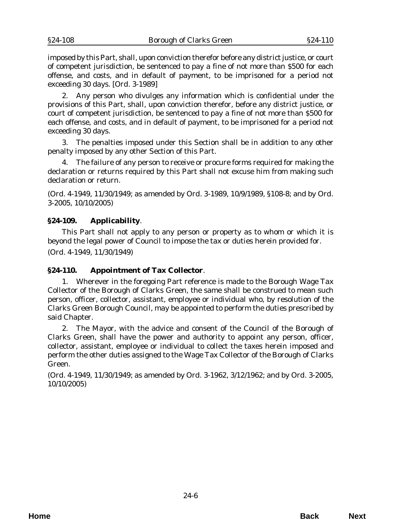<span id="page-5-0"></span>imposed by this Part, shall, upon conviction therefor before any district justice, or court of competent jurisdiction, be sentenced to pay a fine of not more than \$500 for each offense, and costs, and in default of payment, to be imprisoned for a period not exceeding 30 days. [*Ord. 3-1989*]

2. Any person who divulges any information which is confidential under the provisions of this Part, shall, upon conviction therefor, before any district justice, or court of competent jurisdiction, be sentenced to pay a fine of not more than \$500 for each offense, and costs, and in default of payment, to be imprisoned for a period not exceeding 30 days.

3. The penalties imposed under this Section shall be in addition to any other penalty imposed by any other Section of this Part.

4. The failure of any person to receive or procure forms required for making the declaration or returns required by this Part shall not excuse him from making such declaration or return.

(*Ord. 4-1949*, 11/30/1949; as amended by *Ord. 3-1989*, 10/9/1989, §108-8; and by *Ord. 3-2005*, 10/10/2005)

## **§24-109. Applicability**.

This Part shall not apply to any person or property as to whom or which it is beyond the legal power of Council to impose the tax or duties herein provided for.

(*Ord. 4-1949*, 11/30/1949)

## **§24-110. Appointment of Tax Collector**.

1. Wherever in the foregoing Part reference is made to the Borough Wage Tax Collector of the Borough of Clarks Green, the same shall be construed to mean such person, officer, collector, assistant, employee or individual who, by resolution of the Clarks Green Borough Council, may be appointed to perform the duties prescribed by said Chapter.

2. The Mayor, with the advice and consent of the Council of the Borough of Clarks Green, shall have the power and authority to appoint any person, officer, collector, assistant, employee or individual to collect the taxes herein imposed and perform the other duties assigned to the Wage Tax Collector of the Borough of Clarks Green.

(*Ord. 4-1949*, 11/30/1949; as amended by *Ord. 3-1962*, 3/12/1962; and by *Ord. 3-2005*, 10/10/2005)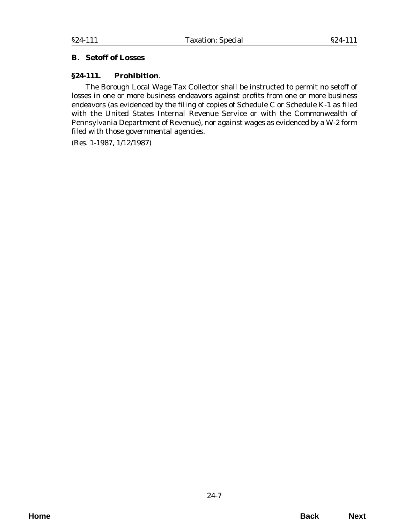## <span id="page-6-0"></span>**B. Setoff of Losses**

### **§24-111. Prohibition**.

The Borough Local Wage Tax Collector shall be instructed to permit no setoff of losses in one or more business endeavors against profits from one or more business endeavors (as evidenced by the filing of copies of Schedule C or Schedule K-1 as filed with the United States Internal Revenue Service or with the Commonwealth of Pennsylvania Department of Revenue), nor against wages as evidenced by a W-2 form filed with those governmental agencies.

(*Res. 1-1987*, 1/12/1987)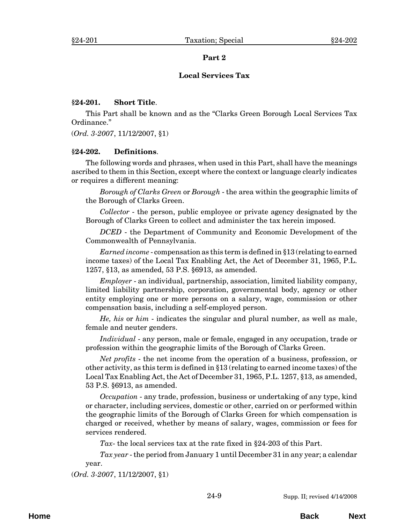#### **Part 2**

#### **Local Services Tax**

#### <span id="page-8-0"></span>**§24-201. Short Title**.

This Part shall be known and as the "Clarks Green Borough Local Services Tax Ordinance."

(*Ord. 3-2007*, 11/12/2007, §1)

#### **§24-202. Definitions**.

The following words and phrases, when used in this Part, shall have the meanings ascribed to them in this Section, except where the context or language clearly indicates or requires a different meaning:

*Borough of Clarks Green* or *Borough* - the area within the geographic limits of the Borough of Clarks Green.

*Collector* - the person, public employee or private agency designated by the Borough of Clarks Green to collect and administer the tax herein imposed.

*DCED* - the Department of Community and Economic Development of the Commonwealth of Pennsylvania.

*Earned income* - compensation as this term is defined in §13 (relating to earned income taxes) of the Local Tax Enabling Act, the Act of December 31, 1965, P.L. 1257, §13, as amended, 53 P.S. §6913, as amended.

*Employer* - an individual, partnership, association, limited liability company, limited liability partnership, corporation, governmental body, agency or other entity employing one or more persons on a salary, wage, commission or other compensation basis, including a self-employed person.

*He, his* or *him* - indicates the singular and plural number, as well as male, female and neuter genders.

*Individual* - any person, male or female, engaged in any occupation, trade or profession within the geographic limits of the Borough of Clarks Green.

*Net profits* - the net income from the operation of a business, profession, or other activity, as this term is defined in §13 (relating to earned income taxes) of the Local Tax Enabling Act, the Act of December 31, 1965, P.L. 1257, §13, as amended, 53 P.S. §6913, as amended.

*Occupation* - any trade, profession, business or undertaking of any type, kind or character, including services, domestic or other, carried on or performed within the geographic limits of the Borough of Clarks Green for which compensation is charged or received, whether by means of salary, wages, commission or fees for services rendered.

*Tax*- the local services tax at the rate fixed in §24-203 of this Part.

*Tax year* - the period from January 1 until December 31 in any year; a calendar year.

(*Ord. 3-2007*, 11/12/2007, §1)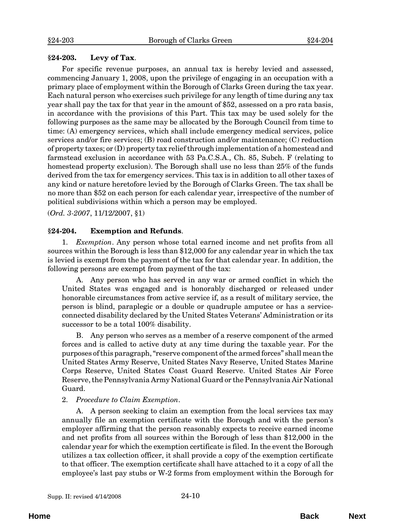#### <span id="page-9-0"></span>**§24-203. Levy of Tax**.

For specific revenue purposes, an annual tax is hereby levied and assessed, commencing January 1, 2008, upon the privilege of engaging in an occupation with a primary place of employment within the Borough of Clarks Green during the tax year. Each natural person who exercises such privilege for any length of time during any tax year shall pay the tax for that year in the amount of \$52, assessed on a pro rata basis, in accordance with the provisions of this Part. This tax may be used solely for the following purposes as the same may be allocated by the Borough Council from time to time: (A) emergency services, which shall include emergency medical services, police services and/or fire services; (B) road construction and/or maintenance; (C) reduction of property taxes; or (D) property tax relief through implementation of a homestead and farmstead exclusion in accordance with 53 Pa.C.S.A., Ch. 85, Subch. F (relating to homestead property exclusion). The Borough shall use no less than 25% of the funds derived from the tax for emergency services. This tax is in addition to all other taxes of any kind or nature heretofore levied by the Borough of Clarks Green. The tax shall be no more than \$52 on each person for each calendar year, irrespective of the number of political subdivisions within which a person may be employed.

(*Ord. 3-2007*, 11/12/2007, §1)

#### **§24-204. Exemption and Refunds**.

1. *Exemption*. Any person whose total earned income and net profits from all sources within the Borough is less than \$12,000 for any calendar year in which the tax is levied is exempt from the payment of the tax for that calendar year. In addition, the following persons are exempt from payment of the tax:

A. Any person who has served in any war or armed conflict in which the United States was engaged and is honorably discharged or released under honorable circumstances from active service if, as a result of military service, the person is blind, paraplegic or a double or quadruple amputee or has a serviceconnected disability declared by the United States Veterans' Administration or its successor to be a total 100% disability.

B. Any person who serves as a member of a reserve component of the armed forces and is called to active duty at any time during the taxable year. For the purposes of this paragraph, "reserve component of the armed forces" shall mean the United States Army Reserve, United States Navy Reserve, United States Marine Corps Reserve, United States Coast Guard Reserve. United States Air Force Reserve, the Pennsylvania Army National Guard or the Pennsylvania Air National Guard.

#### 2. *Procedure to Claim Exemption*.

A. A person seeking to claim an exemption from the local services tax may annually file an exemption certificate with the Borough and with the person's employer affirming that the person reasonably expects to receive earned income and net profits from all sources within the Borough of less than \$12,000 in the calendar year for which the exemption certificate is filed. In the event the Borough utilizes a tax collection officer, it shall provide a copy of the exemption certificate to that officer. The exemption certificate shall have attached to it a copy of all the employee's last pay stubs or W-2 forms from employment within the Borough for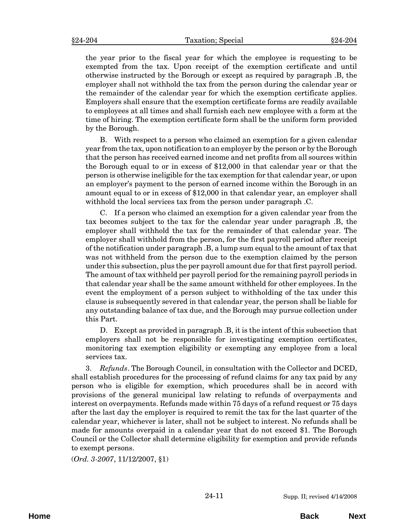the year prior to the fiscal year for which the employee is requesting to be exempted from the tax. Upon receipt of the exemption certificate and until otherwise instructed by the Borough or except as required by paragraph .B, the employer shall not withhold the tax from the person during the calendar year or the remainder of the calendar year for which the exemption certificate applies. Employers shall ensure that the exemption certificate forms are readily available to employees at all times and shall furnish each new employee with a form at the time of hiring. The exemption certificate form shall be the uniform form provided by the Borough.

B. With respect to a person who claimed an exemption for a given calendar year from the tax, upon notification to an employer by the person or by the Borough that the person has received earned income and net profits from all sources within the Borough equal to or in excess of \$12,000 in that calendar year or that the person is otherwise ineligible for the tax exemption for that calendar year, or upon an employer's payment to the person of earned income within the Borough in an amount equal to or in excess of \$12,000 in that calendar year, an employer shall withhold the local services tax from the person under paragraph .C.

C. If a person who claimed an exemption for a given calendar year from the tax becomes subject to the tax for the calendar year under paragraph .B, the employer shall withhold the tax for the remainder of that calendar year. The employer shall withhold from the person, for the first payroll period after receipt of the notification under paragraph .B, a lump sum equal to the amount of tax that was not withheld from the person due to the exemption claimed by the person under this subsection, plus the per payroll amount due for that first payroll period. The amount of tax withheld per payroll period for the remaining payroll periods in that calendar year shall be the same amount withheld for other employees. In the event the employment of a person subject to withholding of the tax under this clause is subsequently severed in that calendar year, the person shall be liable for any outstanding balance of tax due, and the Borough may pursue collection under this Part.

D. Except as provided in paragraph .B, it is the intent of this subsection that employers shall not be responsible for investigating exemption certificates, monitoring tax exemption eligibility or exempting any employee from a local services tax.

3. *Refunds*. The Borough Council, in consultation with the Collector and DCED, shall establish procedures for the processing of refund claims for any tax paid by any person who is eligible for exemption, which procedures shall be in accord with provisions of the general municipal law relating to refunds of overpayments and interest on overpayments. Refunds made within 75 days of a refund request or 75 days after the last day the employer is required to remit the tax for the last quarter of the calendar year, whichever is later, shall not be subject to interest. No refunds shall be made for amounts overpaid in a calendar year that do not exceed \$1. The Borough Council or the Collector shall determine eligibility for exemption and provide refunds to exempt persons.

(*Ord. 3-2007*, 11/12/2007, §1)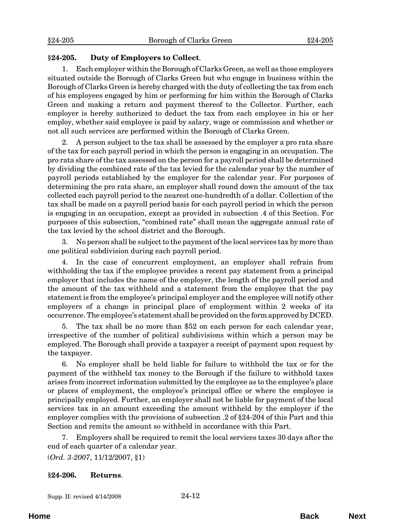## <span id="page-11-0"></span>**§24-205. Duty of Employers to Collect**.

1. Each employer within the Borough of Clarks Green, as well as those employers situated outside the Borough of Clarks Green but who engage in business within the Borough of Clarks Green is hereby charged with the duty of collecting the tax from each of his employees engaged by him or performing for him within the Borough of Clarks Green and making a return and payment thereof to the Collector. Further, each employer is hereby authorized to deduct the tax from each employee in his or her employ, whether said employee is paid by salary, wage or commission and whether or not all such services are performed within the Borough of Clarks Green.

2. A person subject to the tax shall be assessed by the employer a pro rata share of the tax for each payroll period in which the person is engaging in an occupation. The pro rata share of the tax assessed on the person for a payroll period shall be determined by dividing the combined rate of the tax levied for the calendar year by the number of payroll periods established by the employer for the calendar year. For purposes of determining the pro rata share, an employer shall round down the amount of the tax collected each payroll period to the nearest one-hundredth of a dollar. Collection of the tax shall be made on a payroll period basis for each payroll period in which the person is engaging in an occupation, except as provided in subsection .4 of this Section. For purposes of this subsection, "combined rate" shall mean the aggregate annual rate of the tax levied by the school district and the Borough.

3. No person shall be subject to the payment of the local services tax by more than one political subdivision during each payroll period.

4. In the case of concurrent employment, an employer shall refrain from withholding the tax if the employee provides a recent pay statement from a principal employer that includes the name of the employer, the length of the payroll period and the amount of the tax withheld and a statement from the employee that the pay statement is from the employee's principal employer and the employee will notify other employers of a change in principal place of employment within 2 weeks of its occurrence. The employee's statement shall be provided on the form approved by DCED.

5. The tax shall be no more than \$52 on each person for each calendar year, irrespective of the number of political subdivisions within which a person may be employed. The Borough shall provide a taxpayer a receipt of payment upon request by the taxpayer.

6. No employer shall be held liable for failure to withhold the tax or for the payment of the withheld tax money to the Borough if the failure to withhold taxes arises from incorrect information submitted by the employee as to the employee's place or places of employment, the employee's principal office or where the employee is principally employed. Further, an employer shall not be liable for payment of the local services tax in an amount exceeding the amount withheld by the employer if the employer complies with the provisions of subsection .2 of §24-204 of this Part and this Section and remits the amount so withheld in accordance with this Part.

7. Employers shall be required to remit the local services taxes 30 days after the end of each quarter of a calendar year.

(*Ord. 3-2007*, 11/12/2007, §1)

## **§24-206. Returns**.

Supp. II: revised 4/14/2008 24-12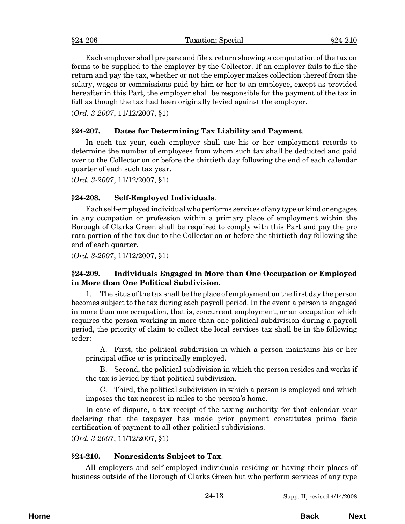<span id="page-12-0"></span>Each employer shall prepare and file a return showing a computation of the tax on forms to be supplied to the employer by the Collector. If an employer fails to file the return and pay the tax, whether or not the employer makes collection thereof from the salary, wages or commissions paid by him or her to an employee, except as provided hereafter in this Part, the employer shall be responsible for the payment of the tax in full as though the tax had been originally levied against the employer.

(*Ord. 3-2007*, 11/12/2007, §1)

## **§24-207. Dates for Determining Tax Liability and Payment**.

In each tax year, each employer shall use his or her employment records to determine the number of employees from whom such tax shall be deducted and paid over to the Collector on or before the thirtieth day following the end of each calendar quarter of each such tax year.

(*Ord. 3-2007*, 11/12/2007, §1)

## **§24-208. Self-Employed Individuals**.

Each self-employed individual who performs services of any type or kind or engages in any occupation or profession within a primary place of employment within the Borough of Clarks Green shall be required to comply with this Part and pay the pro rata portion of the tax due to the Collector on or before the thirtieth day following the end of each quarter.

(*Ord. 3-2007*, 11/12/2007, §1)

## **§24-209. Individuals Engaged in More than One Occupation or Employed in More than One Political Subdivision**.

1. The situs of the tax shall be the place of employment on the first day the person becomes subject to the tax during each payroll period. In the event a person is engaged in more than one occupation, that is, concurrent employment, or an occupation which requires the person working in more than one political subdivision during a payroll period, the priority of claim to collect the local services tax shall be in the following order:

A. First, the political subdivision in which a person maintains his or her principal office or is principally employed.

B. Second, the political subdivision in which the person resides and works if the tax is levied by that political subdivision.

C. Third, the political subdivision in which a person is employed and which imposes the tax nearest in miles to the person's home.

In case of dispute, a tax receipt of the taxing authority for that calendar year declaring that the taxpayer has made prior payment constitutes prima facie certification of payment to all other political subdivisions.

(*Ord. 3-2007*, 11/12/2007, §1)

## **§24-210. Nonresidents Subject to Tax**.

All employers and self-employed individuals residing or having their places of business outside of the Borough of Clarks Green but who perform services of any type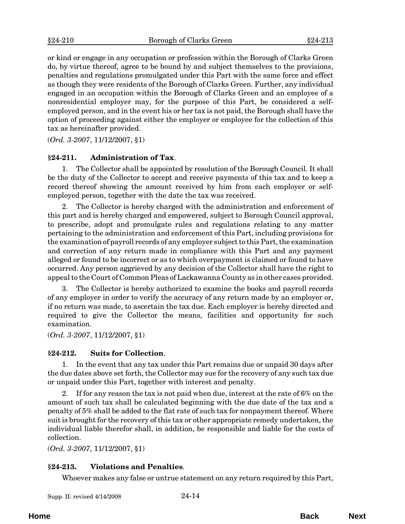<span id="page-13-0"></span>or kind or engage in any occupation or profession within the Borough of Clarks Green do, by virtue thereof, agree to be bound by and subject themselves to the provisions, penalties and regulations promulgated under this Part with the same force and effect as though they were residents of the Borough of Clarks Green. Further, any individual engaged in an occupation within the Borough of Clarks Green and an employee of a nonresidential employer may, for the purpose of this Part, be considered a selfemployed person, and in the event his or her tax is not paid, the Borough shall have the option of proceeding against either the employer or employee for the collection of this tax as hereinafter provided.

(*Ord. 3-2007*, 11/12/2007, §1)

## **§24-211. Administration of Tax**.

1. The Collector shall be appointed by resolution of the Borough Council. It shall be the duty of the Collector to accept and receive payments of this tax and to keep a record thereof showing the amount received by him from each employer or selfemployed person, together with the date the tax was received.

2. The Collector is hereby charged with the administration and enforcement of this part and is hereby charged and empowered, subject to Borough Council approval, to prescribe, adopt and promulgate rules and regulations relating to any matter pertaining to the administration and enforcement of this Part, including provisions for the examination of payroll records of any employer subject to this Part, the examination and correction of any return made in compliance with this Part and any payment alleged or found to be incorrect or as to which overpayment is claimed or found to have occurred. Any person aggrieved by any decision of the Collector shall have the right to appeal to the Court of Common Pleas of Lackawanna County as in other cases provided.

3. The Collector is hereby authorized to examine the books and payroll records of any employer in order to verify the accuracy of any return made by an employer or, if no return was made, to ascertain the tax due. Each employer is hereby directed and required to give the Collector the means, facilities and opportunity for such examination.

(*Ord. 3-2007*, 11/12/2007, §1)

#### **§24-212. Suits for Collection**.

1. In the event that any tax under this Part remains due or unpaid 30 days after the due dates above set forth, the Collector may sue for the recovery of any such tax due or unpaid under this Part, together with interest and penalty.

2. If for any reason the tax is not paid when due, interest at the rate of 6% on the amount of such tax shall be calculated beginning with the due date of the tax and a penalty of 5% shall be added to the flat rate of such tax for nonpayment thereof. Where suit is brought for the recovery of this tax or other appropriate remedy undertaken, the individual liable therefor shall, in addition, be responsible and liable for the costs of collection.

(*Ord. 3-2007*, 11/12/2007, §1)

#### **§24-213. Violations and Penalties**.

Whoever makes any false or untrue statement on any return required by this Part,

| Supp. II: revised 4/14/2008 | 24-14 |
|-----------------------------|-------|
|-----------------------------|-------|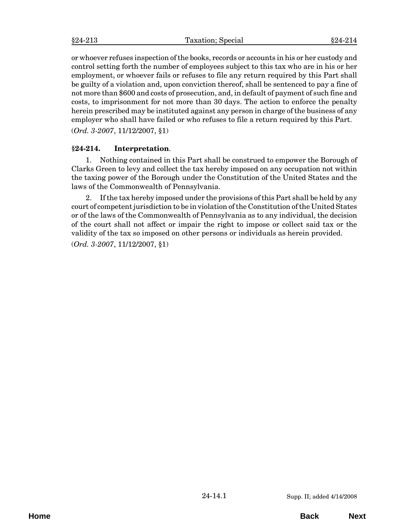<span id="page-14-0"></span>or whoever refuses inspection of the books, records or accounts in his or her custody and control setting forth the number of employees subject to this tax who are in his or her employment, or whoever fails or refuses to file any return required by this Part shall be guilty of a violation and, upon conviction thereof, shall be sentenced to pay a fine of not more than \$600 and costs of prosecution, and, in default of payment of such fine and costs, to imprisonment for not more than 30 days. The action to enforce the penalty herein prescribed may be instituted against any person in charge of the business of any employer who shall have failed or who refuses to file a return required by this Part. (*Ord. 3-2007*, 11/12/2007, §1)

## **§24-214. Interpretation**.

1. Nothing contained in this Part shall be construed to empower the Borough of Clarks Green to levy and collect the tax hereby imposed on any occupation not within the taxing power of the Borough under the Constitution of the United States and the laws of the Commonwealth of Pennsylvania.

2. If the tax hereby imposed under the provisions of this Part shall be held by any court of competent jurisdiction to be in violation of the Constitution of the United States or of the laws of the Commonwealth of Pennsylvania as to any individual, the decision of the court shall not affect or impair the right to impose or collect said tax or the validity of the tax so imposed on other persons or individuals as herein provided.

(*Ord. 3-2007*, 11/12/2007, §1)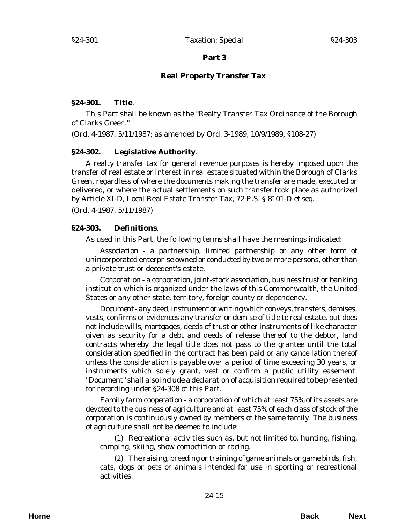## **Part 3**

## **Real Property Transfer Tax**

### <span id="page-16-0"></span>**§24-301. Title**.

This Part shall be known as the "Realty Transfer Tax Ordinance of the Borough of Clarks Green."

(*Ord. 4-1987*, 5/11/1987; as amended by *Ord. 3-1989*, 10/9/1989, §108-27)

### **§24-302. Legislative Authority**.

A realty transfer tax for general revenue purposes is hereby imposed upon the transfer of real estate or interest in real estate situated within the Borough of Clarks Green, regardless of where the documents making the transfer are made, executed or delivered, or where the actual settlements on such transfer took place as authorized by Article XI-D, Local Real Estate Transfer Tax, 72 P.S. § 8101-D *et seq*.

(*Ord. 4-1987*, 5/11/1987)

### **§24-303. Definitions**.

As used in this Part, the following terms shall have the meanings indicated:

*Association* - a partnership, limited partnership or any other form of unincorporated enterprise owned or conducted by two or more persons, other than a private trust or decedent's estate.

*Corporation* - a corporation, joint-stock association, business trust or banking institution which is organized under the laws of this Commonwealth, the United States or any other state, territory, foreign county or dependency.

*Document* - any deed, instrument or writing which conveys, transfers, demises, vests, confirms or evidences any transfer or demise of title to real estate, but does not include wills, mortgages, deeds of trust or other instruments of like character given as security for a debt and deeds of release thereof to the debtor, land contracts whereby the legal title does not pass to the grantee until the total consideration specified in the contract has been paid or any cancellation thereof unless the consideration is payable over a period of time exceeding 30 years, or instruments which solely grant, vest or confirm a public utility easement. "Document" shall also include a declaration of acquisition required to be presented for recording under §24-308 of this Part.

*Family farm cooperation* - a corporation of which at least 75% of its assets are devoted to the business of agriculture and at least 75% of each class of stock of the corporation is continuously owned by members of the same family. The business of agriculture shall not be deemed to include:

(1) Recreational activities such as, but not limited to, hunting, fishing, camping, skiing, show competition or racing.

(2) The raising, breeding or training of game animals or game birds, fish, cats, dogs or pets or animals intended for use in sporting or recreational activities.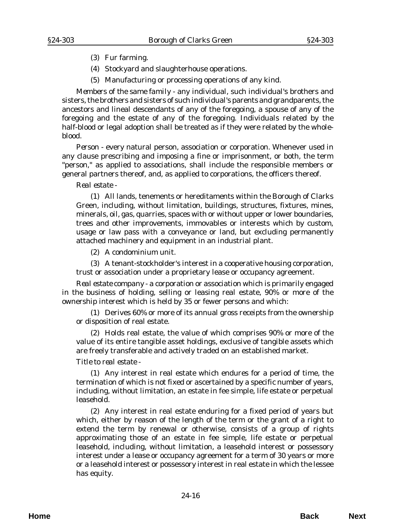- (3) Fur farming.
- (4) Stockyard and slaughterhouse operations.
- (5) Manufacturing or processing operations of any kind.

*Members of the same family* - any individual, such individual's brothers and sisters, the brothers and sisters of such individual's parents and grandparents, the ancestors and lineal descendants of any of the foregoing, a spouse of any of the foregoing and the estate of any of the foregoing. Individuals related by the half-blood or legal adoption shall be treated as if they were related by the wholeblood.

*Person* - every natural person, association or corporation. Whenever used in any clause prescribing and imposing a fine or imprisonment, or both, the term "person," as applied to associations, shall include the responsible members or general partners thereof, and, as applied to corporations, the officers thereof.

#### *Real estate* -

(1) All lands, tenements or hereditaments within the Borough of Clarks Green, including, without limitation, buildings, structures, fixtures, mines, minerals, oil, gas, quarries, spaces with or without upper or lower boundaries, trees and other improvements, immovables or interests which by custom, usage or law pass with a conveyance or land, but excluding permanently attached machinery and equipment in an industrial plant.

(2) A condominium unit.

(3) A tenant-stockholder's interest in a cooperative housing corporation, trust or association under a proprietary lease or occupancy agreement.

*Real estate company* - a corporation or association which is primarily engaged in the business of holding, selling or leasing real estate, 90% or more of the ownership interest which is held by 35 or fewer persons and which:

(1) Derives 60% or more of its annual gross receipts from the ownership or disposition of real estate.

(2) Holds real estate, the value of which comprises 90% or more of the value of its entire tangible asset holdings, exclusive of tangible assets which are freely transferable and actively traded on an established market.

*Title to real estate* -

(1) Any interest in real estate which endures for a period of time, the termination of which is not fixed or ascertained by a specific number of years, including, without limitation, an estate in fee simple, life estate or perpetual leasehold.

(2) Any interest in real estate enduring for a fixed period of years but which, either by reason of the length of the term or the grant of a right to extend the term by renewal or otherwise, consists of a group of rights approximating those of an estate in fee simple, life estate or perpetual leasehold, including, without limitation, a leasehold interest or possessory interest under a lease or occupancy agreement for a term of 30 years or more or a leasehold interest or possessory interest in real estate in which the lessee has equity.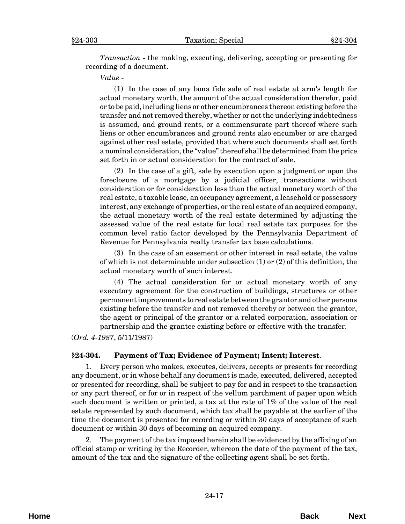<span id="page-18-0"></span>*Transaction* - the making, executing, delivering, accepting or presenting for recording of a document.

*Value* -

(1) In the case of any bona fide sale of real estate at arm's length for actual monetary worth, the amount of the actual consideration therefor, paid or to be paid, including liens or other encumbrances thereon existing before the transfer and not removed thereby, whether or not the underlying indebtedness is assumed, and ground rents, or a commensurate part thereof where such liens or other encumbrances and ground rents also encumber or are charged against other real estate, provided that where such documents shall set forth a nominal consideration, the "value" thereof shall be determined from the price set forth in or actual consideration for the contract of sale.

(2) In the case of a gift, sale by execution upon a judgment or upon the foreclosure of a mortgage by a judicial officer, transactions without consideration or for consideration less than the actual monetary worth of the real estate, a taxable lease, an occupancy agreement, a leasehold or possessory interest, any exchange of properties, or the real estate of an acquired company, the actual monetary worth of the real estate determined by adjusting the assessed value of the real estate for local real estate tax purposes for the common level ratio factor developed by the Pennsylvania Department of Revenue for Pennsylvania realty transfer tax base calculations.

(3) In the case of an easement or other interest in real estate, the value of which is not determinable under subsection (1) or (2) of this definition, the actual monetary worth of such interest.

(4) The actual consideration for or actual monetary worth of any executory agreement for the construction of buildings, structures or other permanent improvements to real estate between the grantor and other persons existing before the transfer and not removed thereby or between the grantor, the agent or principal of the grantor or a related corporation, association or partnership and the grantee existing before or effective with the transfer.

(*Ord. 4-1987*, 5/11/1987)

#### **§24-304. Payment of Tax; Evidence of Payment; Intent; Interest**.

1. Every person who makes, executes, delivers, accepts or presents for recording any document, or in whose behalf any document is made, executed, delivered, accepted or presented for recording, shall be subject to pay for and in respect to the transaction or any part thereof, or for or in respect of the vellum parchment of paper upon which such document is written or printed, a tax at the rate of 1% of the value of the real estate represented by such document, which tax shall be payable at the earlier of the time the document is presented for recording or within 30 days of acceptance of such document or within 30 days of becoming an acquired company.

2. The payment of the tax imposed herein shall be evidenced by the affixing of an official stamp or writing by the Recorder, whereon the date of the payment of the tax, amount of the tax and the signature of the collecting agent shall be set forth.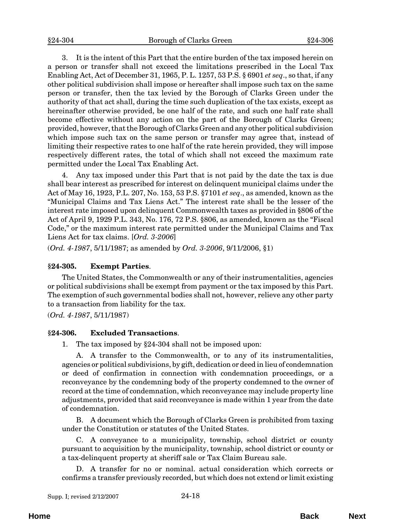<span id="page-19-0"></span>3. It is the intent of this Part that the entire burden of the tax imposed herein on a person or transfer shall not exceed the limitations prescribed in the Local Tax Enabling Act, Act of December 31, 1965, P. L. 1257, 53 P.S. § 6901 *et seq*., so that, if any other political subdivision shall impose or hereafter shall impose such tax on the same person or transfer, then the tax levied by the Borough of Clarks Green under the authority of that act shall, during the time such duplication of the tax exists, except as hereinafter otherwise provided, be one half of the rate, and such one half rate shall become effective without any action on the part of the Borough of Clarks Green; provided, however, that the Borough of Clarks Green and any other political subdivision which impose such tax on the same person or transfer may agree that, instead of limiting their respective rates to one half of the rate herein provided, they will impose respectively different rates, the total of which shall not exceed the maximum rate permitted under the Local Tax Enabling Act.

4. Any tax imposed under this Part that is not paid by the date the tax is due shall bear interest as prescribed for interest on delinquent municipal claims under the Act of May 16, 1923, P.L. 207, No. 153, 53 P.S. §7101 *et seq*., as amended, known as the "Municipal Claims and Tax Liens Act." The interest rate shall be the lesser of the interest rate imposed upon delinquent Commonwealth taxes as provided in §806 of the Act of April 9, 1929 P.L. 343, No. 176, 72 P.S. §806, as amended, known as the "Fiscal Code," or the maximum interest rate permitted under the Municipal Claims and Tax Liens Act for tax claims. [*Ord. 3-2006*]

(*Ord. 4-1987*, 5/11/1987; as amended by *Ord. 3-2006*, 9/11/2006, §1)

#### **§24-305. Exempt Parties**.

The United States, the Commonwealth or any of their instrumentalities, agencies or political subdivisions shall be exempt from payment or the tax imposed by this Part. The exemption of such governmental bodies shall not, however, relieve any other party to a transaction from liability for the tax.

(*Ord. 4-1987*, 5/11/1987)

#### **§24-306. Excluded Transactions**.

1. The tax imposed by §24-304 shall not be imposed upon:

A. A transfer to the Commonwealth, or to any of its instrumentalities, agencies or political subdivisions, by gift, dedication or deed in lieu of condemnation or deed of confirmation in connection with condemnation proceedings, or a reconveyance by the condemning body of the property condemned to the owner of record at the time of condemnation, which reconveyance may include property line adjustments, provided that said reconveyance is made within 1 year from the date of condemnation.

B. A document which the Borough of Clarks Green is prohibited from taxing under the Constitution or statutes of the United States.

C. A conveyance to a municipality, township, school district or county pursuant to acquisition by the municipality, township, school district or county or a tax-delinquent property at sheriff sale or Tax Claim Bureau sale.

D. A transfer for no or nominal. actual consideration which corrects or confirms a transfer previously recorded, but which does not extend or limit existing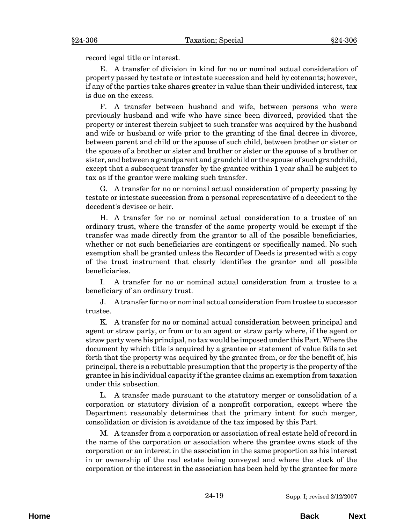record legal title or interest.

E. A transfer of division in kind for no or nominal actual consideration of property passed by testate or intestate succession and held by cotenants; however, if any of the parties take shares greater in value than their undivided interest, tax is due on the excess.

F. A transfer between husband and wife, between persons who were previously husband and wife who have since been divorced, provided that the property or interest therein subject to such transfer was acquired by the husband and wife or husband or wife prior to the granting of the final decree in divorce, between parent and child or the spouse of such child, between brother or sister or the spouse of a brother or sister and brother or sister or the spouse of a brother or sister, and between a grandparent and grandchild or the spouse of such grandchild, except that a subsequent transfer by the grantee within 1 year shall be subject to tax as if the grantor were making such transfer.

G. A transfer for no or nominal actual consideration of property passing by testate or intestate succession from a personal representative of a decedent to the decedent's devisee or heir.

H. A transfer for no or nominal actual consideration to a trustee of an ordinary trust, where the transfer of the same property would be exempt if the transfer was made directly from the grantor to all of the possible beneficiaries, whether or not such beneficiaries are contingent or specifically named. No such exemption shall be granted unless the Recorder of Deeds is presented with a copy of the trust instrument that clearly identifies the grantor and all possible beneficiaries.

I. A transfer for no or nominal actual consideration from a trustee to a beneficiary of an ordinary trust.

J. A transfer for no or nominal actual consideration from trustee to successor trustee.

K. A transfer for no or nominal actual consideration between principal and agent or straw party, or from or to an agent or straw party where, if the agent or straw party were his principal, no tax would be imposed under this Part. Where the document by which title is acquired by a grantee or statement of value fails to set forth that the property was acquired by the grantee from, or for the benefit of, his principal, there is a rebuttable presumption that the property is the property of the grantee in his individual capacity if the grantee claims an exemption from taxation under this subsection.

L. A transfer made pursuant to the statutory merger or consolidation of a corporation or statutory division of a nonprofit corporation, except where the Department reasonably determines that the primary intent for such merger, consolidation or division is avoidance of the tax imposed by this Part.

M. A transfer from a corporation or association of real estate held of record in the name of the corporation or association where the grantee owns stock of the corporation or an interest in the association in the same proportion as his interest in or ownership of the real estate being conveyed and where the stock of the corporation or the interest in the association has been held by the grantee for more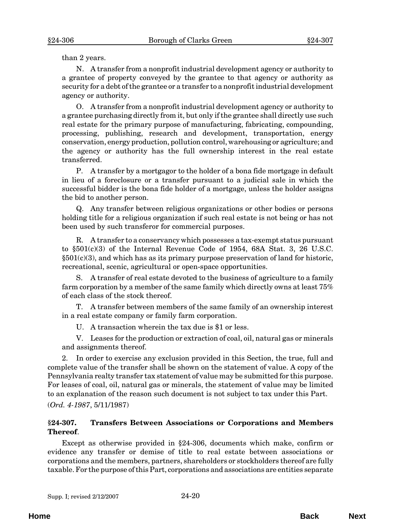<span id="page-21-0"></span>than 2 years.

N. A transfer from a nonprofit industrial development agency or authority to a grantee of property conveyed by the grantee to that agency or authority as security for a debt of the grantee or a transfer to a nonprofit industrial development agency or authority.

O. A transfer from a nonprofit industrial development agency or authority to a grantee purchasing directly from it, but only if the grantee shall directly use such real estate for the primary purpose of manufacturing, fabricating, compounding, processing, publishing, research and development, transportation, energy conservation, energy production, pollution control, warehousing or agriculture; and the agency or authority has the full ownership interest in the real estate transferred.

P. A transfer by a mortgagor to the holder of a bona fide mortgage in default in lieu of a foreclosure or a transfer pursuant to a judicial sale in which the successful bidder is the bona fide holder of a mortgage, unless the holder assigns the bid to another person.

Q. Any transfer between religious organizations or other bodies or persons holding title for a religious organization if such real estate is not being or has not been used by such transferor for commercial purposes.

R. A transfer to a conservancy which possesses a tax-exempt status pursuant to  $\S501(c)(3)$  of the Internal Revenue Code of 1954, 68A Stat. 3, 26 U.S.C.  $§501(c)(3)$ , and which has as its primary purpose preservation of land for historic, recreational, scenic, agricultural or open-space opportunities.

S. A transfer of real estate devoted to the business of agriculture to a family farm corporation by a member of the same family which directly owns at least 75% of each class of the stock thereof.

T. A transfer between members of the same family of an ownership interest in a real estate company or family farm corporation.

U. A transaction wherein the tax due is \$1 or less.

V. Leases for the production or extraction of coal, oil, natural gas or minerals and assignments thereof.

2. In order to exercise any exclusion provided in this Section, the true, full and complete value of the transfer shall be shown on the statement of value. A copy of the Pennsylvania realty transfer tax statement of value may be submitted for this purpose. For leases of coal, oil, natural gas or minerals, the statement of value may be limited to an explanation of the reason such document is not subject to tax under this Part.

(*Ord. 4-1987*, 5/11/1987)

### **§24-307. Transfers Between Associations or Corporations and Members Thereof**.

Except as otherwise provided in §24-306, documents which make, confirm or evidence any transfer or demise of title to real estate between associations or corporations and the members, partners, shareholders or stockholders thereof are fully taxable. For the purpose of this Part, corporations and associations are entities separate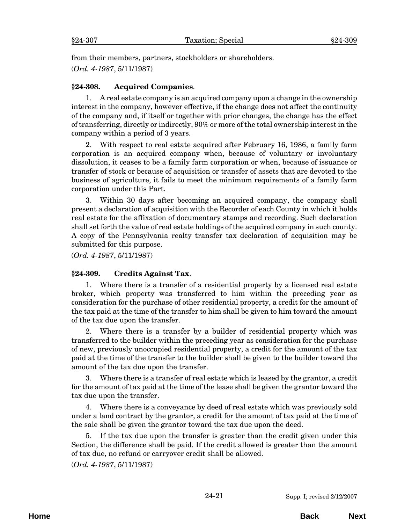<span id="page-22-0"></span>from their members, partners, stockholders or shareholders.

(*Ord. 4-1987*, 5/11/1987)

## **§24-308. Acquired Companies**.

1. A real estate company is an acquired company upon a change in the ownership interest in the company, however effective, if the change does not affect the continuity of the company and, if itself or together with prior changes, the change has the effect of transferring, directly or indirectly, 90% or more of the total ownership interest in the company within a period of 3 years.

2. With respect to real estate acquired after February 16, 1986, a family farm corporation is an acquired company when, because of voluntary or involuntary dissolution, it ceases to be a family farm corporation or when, because of issuance or transfer of stock or because of acquisition or transfer of assets that are devoted to the business of agriculture, it fails to meet the minimum requirements of a family farm corporation under this Part.

3. Within 30 days after becoming an acquired company, the company shall present a declaration of acquisition with the Recorder of each County in which it holds real estate for the affixation of documentary stamps and recording. Such declaration shall set forth the value of real estate holdings of the acquired company in such county. A copy of the Pennsylvania realty transfer tax declaration of acquisition may be submitted for this purpose.

(*Ord. 4-1987*, 5/11/1987)

## **§24-309. Credits Against Tax**.

1. Where there is a transfer of a residential property by a licensed real estate broker, which property was transferred to him within the preceding year as consideration for the purchase of other residential property, a credit for the amount of the tax paid at the time of the transfer to him shall be given to him toward the amount of the tax due upon the transfer.

2. Where there is a transfer by a builder of residential property which was transferred to the builder within the preceding year as consideration for the purchase of new, previously unoccupied residential property, a credit for the amount of the tax paid at the time of the transfer to the builder shall be given to the builder toward the amount of the tax due upon the transfer.

3. Where there is a transfer of real estate which is leased by the grantor, a credit for the amount of tax paid at the time of the lease shall be given the grantor toward the tax due upon the transfer.

Where there is a conveyance by deed of real estate which was previously sold under a land contract by the grantor, a credit for the amount of tax paid at the time of the sale shall be given the grantor toward the tax due upon the deed.

5. If the tax due upon the transfer is greater than the credit given under this Section, the difference shall be paid. If the credit allowed is greater than the amount of tax due, no refund or carryover credit shall be allowed.

(*Ord. 4-1987*, 5/11/1987)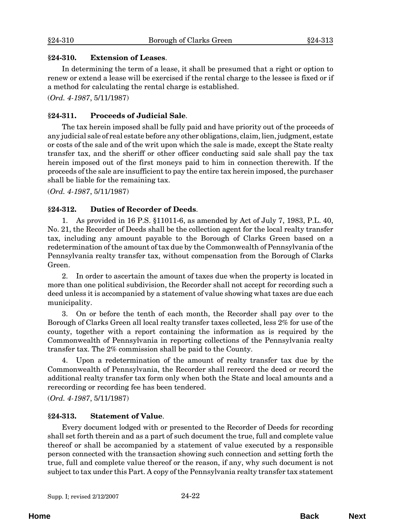#### <span id="page-23-0"></span>**§24-310. Extension of Leases**.

In determining the term of a lease, it shall be presumed that a right or option to renew or extend a lease will be exercised if the rental charge to the lessee is fixed or if a method for calculating the rental charge is established.

(*Ord. 4-1987*, 5/11/1987)

## **§24-311. Proceeds of Judicial Sale**.

The tax herein imposed shall be fully paid and have priority out of the proceeds of any judicial sale of real estate before any other obligations, claim, lien, judgment, estate or costs of the sale and of the writ upon which the sale is made, except the State realty transfer tax, and the sheriff or other officer conducting said sale shall pay the tax herein imposed out of the first moneys paid to him in connection therewith. If the proceeds of the sale are insufficient to pay the entire tax herein imposed, the purchaser shall be liable for the remaining tax.

(*Ord. 4-1987*, 5/11/1987)

## **§24-312. Duties of Recorder of Deeds**.

1. As provided in 16 P.S. §11011-6, as amended by Act of July 7, 1983, P.L. 40, No. 21, the Recorder of Deeds shall be the collection agent for the local realty transfer tax, including any amount payable to the Borough of Clarks Green based on a redetermination of the amount of tax due by the Commonwealth of Pennsylvania of the Pennsylvania realty transfer tax, without compensation from the Borough of Clarks Green.

2. In order to ascertain the amount of taxes due when the property is located in more than one political subdivision, the Recorder shall not accept for recording such a deed unless it is accompanied by a statement of value showing what taxes are due each municipality.

3. On or before the tenth of each month, the Recorder shall pay over to the Borough of Clarks Green all local realty transfer taxes collected, less 2% for use of the county, together with a report containing the information as is required by the Commonwealth of Pennsylvania in reporting collections of the Pennsylvania realty transfer tax. The 2% commission shall be paid to the County.

4. Upon a redetermination of the amount of realty transfer tax due by the Commonwealth of Pennsylvania, the Recorder shall rerecord the deed or record the additional realty transfer tax form only when both the State and local amounts and a rerecording or recording fee has been tendered.

(*Ord. 4-1987*, 5/11/1987)

## **§24-313. Statement of Value**.

Every document lodged with or presented to the Recorder of Deeds for recording shall set forth therein and as a part of such document the true, full and complete value thereof or shall be accompanied by a statement of value executed by a responsible person connected with the transaction showing such connection and setting forth the true, full and complete value thereof or the reason, if any, why such document is not subject to tax under this Part. A copy of the Pennsylvania realty transfer tax statement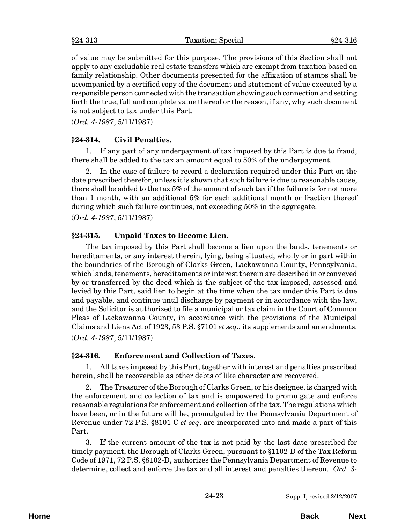<span id="page-24-0"></span>of value may be submitted for this purpose. The provisions of this Section shall not apply to any excludable real estate transfers which are exempt from taxation based on family relationship. Other documents presented for the affixation of stamps shall be accompanied by a certified copy of the document and statement of value executed by a responsible person connected with the transaction showing such connection and setting forth the true, full and complete value thereof or the reason, if any, why such document is not subject to tax under this Part.

(*Ord. 4-1987*, 5/11/1987)

### **§24-314. Civil Penalties**.

1. If any part of any underpayment of tax imposed by this Part is due to fraud, there shall be added to the tax an amount equal to 50% of the underpayment.

2. In the case of failure to record a declaration required under this Part on the date prescribed therefor, unless it is shown that such failure is due to reasonable cause, there shall be added to the tax 5% of the amount of such tax if the failure is for not more than 1 month, with an additional 5% for each additional month or fraction thereof during which such failure continues, not exceeding 50% in the aggregate.

(*Ord. 4-1987*, 5/11/1987)

### **§24-315. Unpaid Taxes to Become Lien**.

The tax imposed by this Part shall become a lien upon the lands, tenements or hereditaments, or any interest therein, lying, being situated, wholly or in part within the boundaries of the Borough of Clarks Green, Lackawanna County, Pennsylvania, which lands, tenements, hereditaments or interest therein are described in or conveyed by or transferred by the deed which is the subject of the tax imposed, assessed and levied by this Part, said lien to begin at the time when the tax under this Part is due and payable, and continue until discharge by payment or in accordance with the law, and the Solicitor is authorized to file a municipal or tax claim in the Court of Common Pleas of Lackawanna County, in accordance with the provisions of the Municipal Claims and Liens Act of 1923, 53 P.S. §7101 *et seq*., its supplements and amendments. (*Ord. 4-1987*, 5/11/1987)

#### **§24-316. Enforcement and Collection of Taxes**.

1. All taxes imposed by this Part, together with interest and penalties prescribed herein, shall be recoverable as other debts of like character are recovered.

2. The Treasurer of the Borough of Clarks Green, or his designee, is charged with the enforcement and collection of tax and is empowered to promulgate and enforce reasonable regulations for enforcement and collection of the tax. The regulations which have been, or in the future will be, promulgated by the Pennsylvania Department of Revenue under 72 P.S. §8101-C *et seq*. are incorporated into and made a part of this Part.

3. If the current amount of the tax is not paid by the last date prescribed for timely payment, the Borough of Clarks Green, pursuant to §1102-D of the Tax Reform Code of 1971, 72 P.S. §8102-D, authorizes the Pennsylvania Department of Revenue to determine, collect and enforce the tax and all interest and penalties thereon. [*Ord. 3-*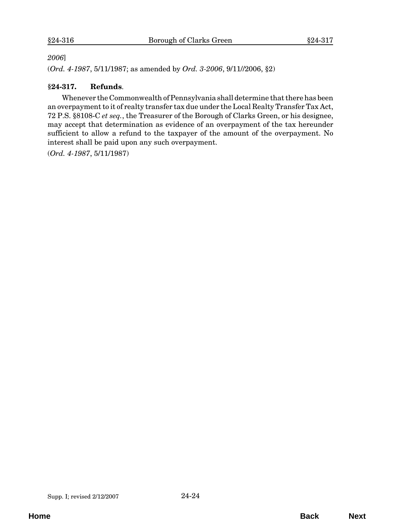#### <span id="page-25-0"></span>*2006*]

(*Ord. 4-1987*, 5/11/1987; as amended by *Ord. 3-2006*, 9/11//2006, §2)

## **§24-317. Refunds**.

Whenever the Commonwealth of Pennsylvania shall determine that there has been an overpayment to it of realty transfer tax due under the Local Realty Transfer Tax Act, 72 P.S. §8108-C *et seq.*, the Treasurer of the Borough of Clarks Green, or his designee, may accept that determination as evidence of an overpayment of the tax hereunder sufficient to allow a refund to the taxpayer of the amount of the overpayment. No interest shall be paid upon any such overpayment.

(*Ord. 4-1987*, 5/11/1987)